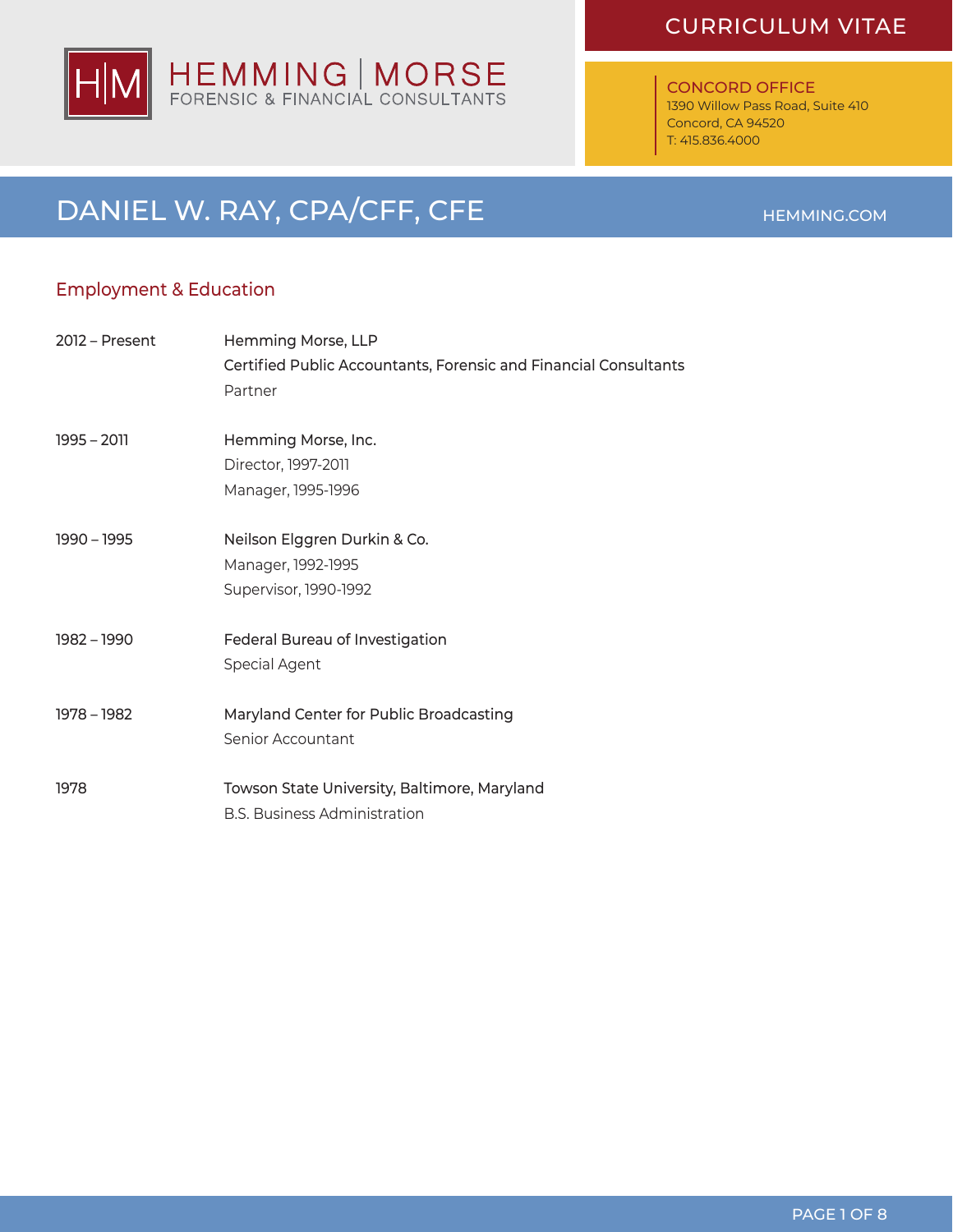

#### CONCORD OFFICE

1390 Willow Pass Road, Suite 410 Concord, CA 94520 T: 415.836.4000

### DANIEL W. RAY, CPA/CFF, CFE HEMMING.COM

### Employment & Education

| $2012$ – Present | Hemming Morse, LLP<br>Certified Public Accountants, Forensic and Financial Consultants<br>Partner |
|------------------|---------------------------------------------------------------------------------------------------|
| $1995 - 2011$    | Hemming Morse, Inc.<br>Director, 1997-2011<br>Manager, 1995-1996                                  |
| 1990 - 1995      | Neilson Elggren Durkin & Co.<br>Manager, 1992-1995<br>Supervisor, 1990-1992                       |
| 1982 - 1990      | Federal Bureau of Investigation<br>Special Agent                                                  |
| 1978 - 1982      | Maryland Center for Public Broadcasting<br>Senior Accountant                                      |
| 1978             | Towson State University, Baltimore, Maryland<br><b>B.S. Business Administration</b>               |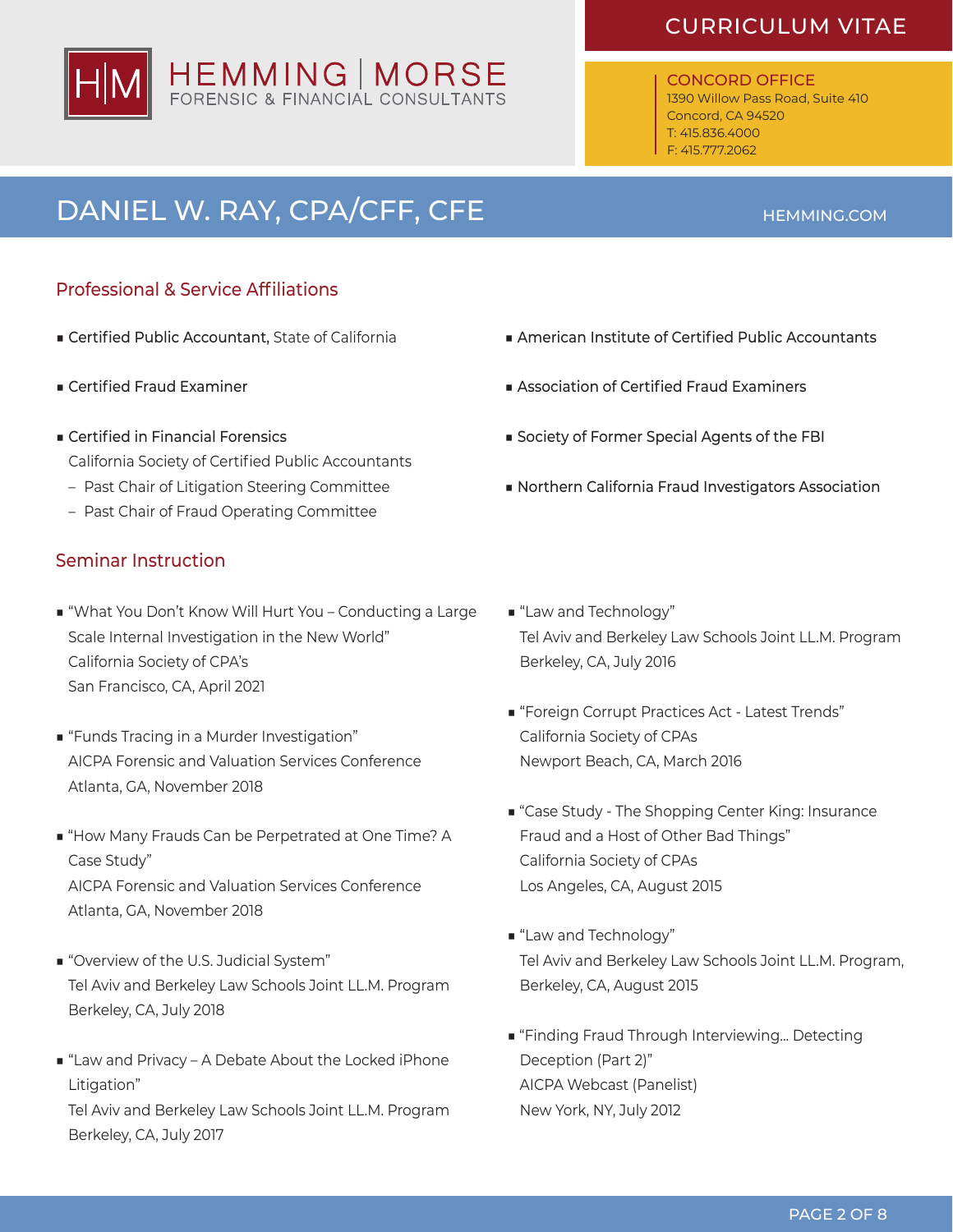# HEMMING | MORSE<br>FORENSIC & FINANCIAL CONSULTANTS

### CURRICULUM VITAE

#### CONCORD OFFICE 1390 Willow Pass Road, Suite 410 Concord, CA 94520

T: 415.836.4000 F: 415.777.2062

# DANIEL W. RAY, CPA/CFF, CFE **HEMMING.COM**

### Professional & Service Affiliations

- Certified Public Accountant, State of California
- Certified Fraud Examiner
- Certified in Financial Forensics California Society of Certified Public Accountants
	- Past Chair of Litigation Steering Committee
	- Past Chair of Fraud Operating Committee

### Seminar Instruction

- "What You Don't Know Will Hurt You Conducting a Large Scale Internal Investigation in the New World" California Society of CPA's San Francisco, CA, April 2021
- "Funds Tracing in a Murder Investigation" AICPA Forensic and Valuation Services Conference Atlanta, GA, November 2018
- "How Many Frauds Can be Perpetrated at One Time? A Case Study" AICPA Forensic and Valuation Services Conference Atlanta, GA, November 2018
- "Overview of the U.S. Judicial System" Tel Aviv and Berkeley Law Schools Joint LL.M. Program Berkeley, CA, July 2018
- "Law and Privacy A Debate About the Locked iPhone Litigation"

Tel Aviv and Berkeley Law Schools Joint LL.M. Program Berkeley, CA, July 2017

- American Institute of Certified Public Accountants
- Association of Certified Fraud Examiners
- Society of Former Special Agents of the FBI
- Northern California Fraud Investigators Association
- "Law and Technology" Tel Aviv and Berkeley Law Schools Joint LL.M. Program Berkeley, CA, July 2016
- "Foreign Corrupt Practices Act Latest Trends" California Society of CPAs Newport Beach, CA, March 2016
- "Case Study The Shopping Center King: Insurance Fraud and a Host of Other Bad Things" California Society of CPAs Los Angeles, CA, August 2015
- "Law and Technology" Tel Aviv and Berkeley Law Schools Joint LL.M. Program, Berkeley, CA, August 2015
- "Finding Fraud Through Interviewing... Detecting Deception (Part 2)" AICPA Webcast (Panelist) New York, NY, July 2012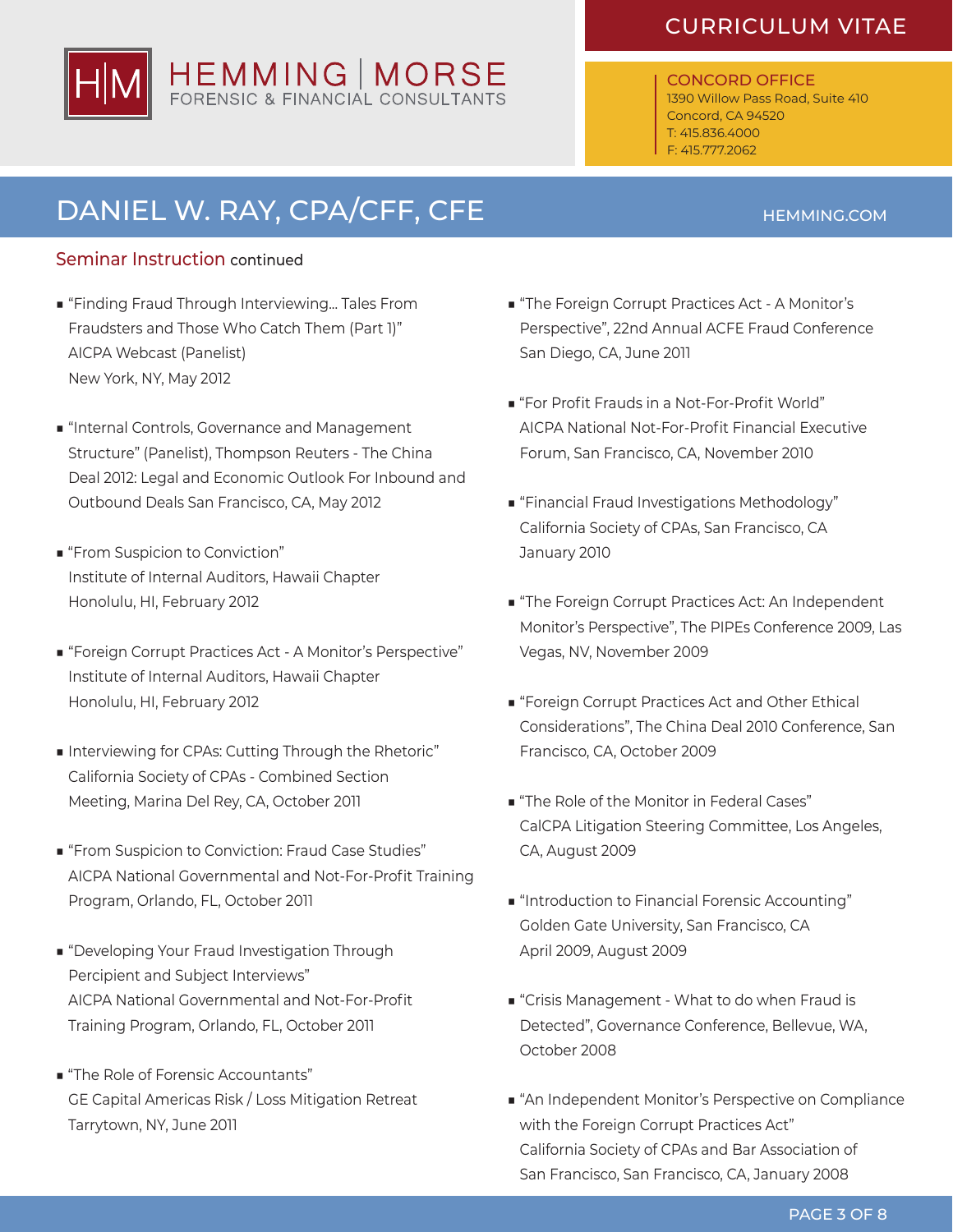# CURRICULUM VITAE HEMMING | MORSE

### CONCORD OFFICE

1390 Willow Pass Road, Suite 410 Concord, CA 94520 T: 415.836.4000 F: 415.777.2062

## DANIEL W. RAY, CPA/CFF, CFE **HEMMING.COM**

### Seminar Instruction continued

- "Finding Fraud Through Interviewing... Tales From Fraudsters and Those Who Catch Them (Part 1)" AICPA Webcast (Panelist) New York, NY, May 2012
- "Internal Controls, Governance and Management Structure" (Panelist), Thompson Reuters - The China Deal 2012: Legal and Economic Outlook For Inbound and Outbound Deals San Francisco, CA, May 2012
- "From Suspicion to Conviction" Institute of Internal Auditors, Hawaii Chapter Honolulu, HI, February 2012
- "Foreign Corrupt Practices Act A Monitor's Perspective" Institute of Internal Auditors, Hawaii Chapter Honolulu, HI, February 2012
- Interviewing for CPAs: Cutting Through the Rhetoric" California Society of CPAs - Combined Section Meeting, Marina Del Rey, CA, October 2011
- "From Suspicion to Conviction: Fraud Case Studies" AICPA National Governmental and Not-For-Profit Training Program, Orlando, FL, October 2011
- "Developing Your Fraud Investigation Through Percipient and Subject Interviews" AICPA National Governmental and Not-For-Profit Training Program, Orlando, FL, October 2011
- "The Role of Forensic Accountants" GE Capital Americas Risk / Loss Mitigation Retreat Tarrytown, NY, June 2011
- "The Foreign Corrupt Practices Act A Monitor's Perspective", 22nd Annual ACFE Fraud Conference San Diego, CA, June 2011
- "For Profit Frauds in a Not-For-Profit World" AICPA National Not-For-Profit Financial Executive Forum, San Francisco, CA, November 2010
- "Financial Fraud Investigations Methodology" California Society of CPAs, San Francisco, CA January 2010
- "The Foreign Corrupt Practices Act: An Independent Monitor's Perspective", The PIPEs Conference 2009, Las Vegas, NV, November 2009
- "Foreign Corrupt Practices Act and Other Ethical Considerations", The China Deal 2010 Conference, San Francisco, CA, October 2009
- "The Role of the Monitor in Federal Cases" CalCPA Litigation Steering Committee, Los Angeles, CA, August 2009
- "Introduction to Financial Forensic Accounting" Golden Gate University, San Francisco, CA April 2009, August 2009
- "Crisis Management What to do when Fraud is Detected", Governance Conference, Bellevue, WA, October 2008
- "An Independent Monitor's Perspective on Compliance with the Foreign Corrupt Practices Act" California Society of CPAs and Bar Association of San Francisco, San Francisco, CA, January 2008

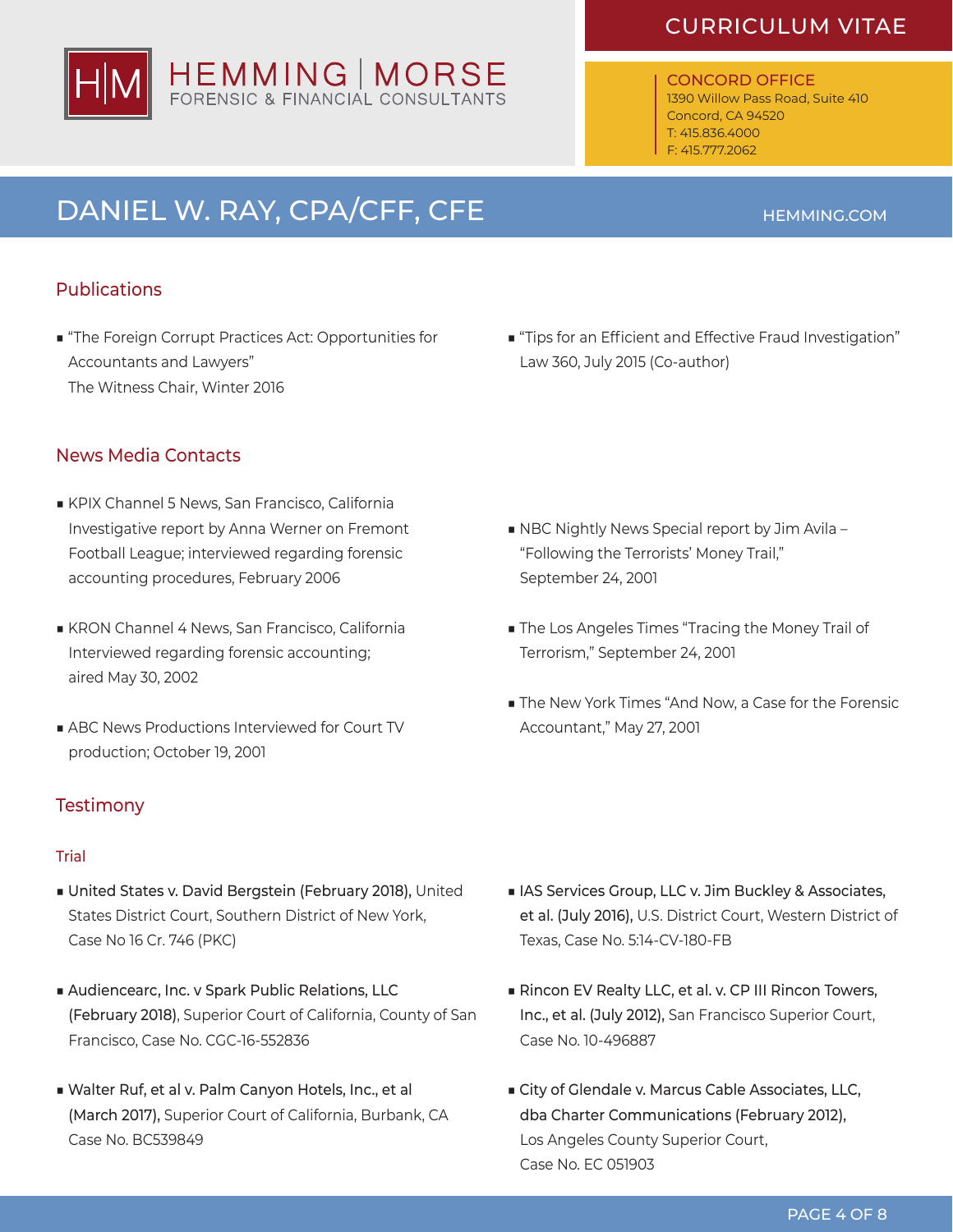# HEMMING | MORSE<br>FORENSIC & FINANCIAL CONSULTANTS

### CURRICULUM VITAE

### CONCORD OFFICE

1390 Willow Pass Road, Suite 410 Concord, CA 94520 T: 415.836.4000 F: 415.777.2062

# DANIEL W. RAY, CPA/CFF, CFE **HEMMING.COM**

### Publications

- "The Foreign Corrupt Practices Act: Opportunities for Accountants and Lawyers" The Witness Chair, Winter 2016
- "Tips for an Efficient and Effective Fraud Investigation" Law 360, July 2015 (Co-author)

### News Media Contacts

- KPIX Channel 5 News, San Francisco, California Investigative report by Anna Werner on Fremont Football League; interviewed regarding forensic accounting procedures, February 2006
- KRON Channel 4 News, San Francisco, California Interviewed regarding forensic accounting; aired May 30, 2002
- ABC News Productions Interviewed for Court TV production; October 19, 2001

### **Testimony**

### Trial

- United States v. David Bergstein (February 2018), United States District Court, Southern District of New York, Case No 16 Cr. 746 (PKC)
- Audiencearc, Inc. v Spark Public Relations, LLC (February 2018), Superior Court of California, County of San Francisco, Case No. CGC-16-552836
- Walter Ruf, et al v. Palm Canyon Hotels, Inc., et al (March 2017), Superior Court of California, Burbank, CA Case No. BC539849
- NBC Nightly News Special report by Jim Avila -"Following the Terrorists' Money Trail," September 24, 2001
- The Los Angeles Times "Tracing the Money Trail of Terrorism," September 24, 2001
- The New York Times "And Now, a Case for the Forensic Accountant," May 27, 2001

- IAS Services Group, LLC v. Jim Buckley & Associates, et al. (July 2016), U.S. District Court, Western District of Texas, Case No. 5:14-CV-180-FB
- Rincon EV Realty LLC, et al. v. CP III Rincon Towers, Inc., et al. (July 2012), San Francisco Superior Court, Case No. 10-496887
- City of Glendale v. Marcus Cable Associates, LLC, dba Charter Communications (February 2012), Los Angeles County Superior Court, Case No. EC 051903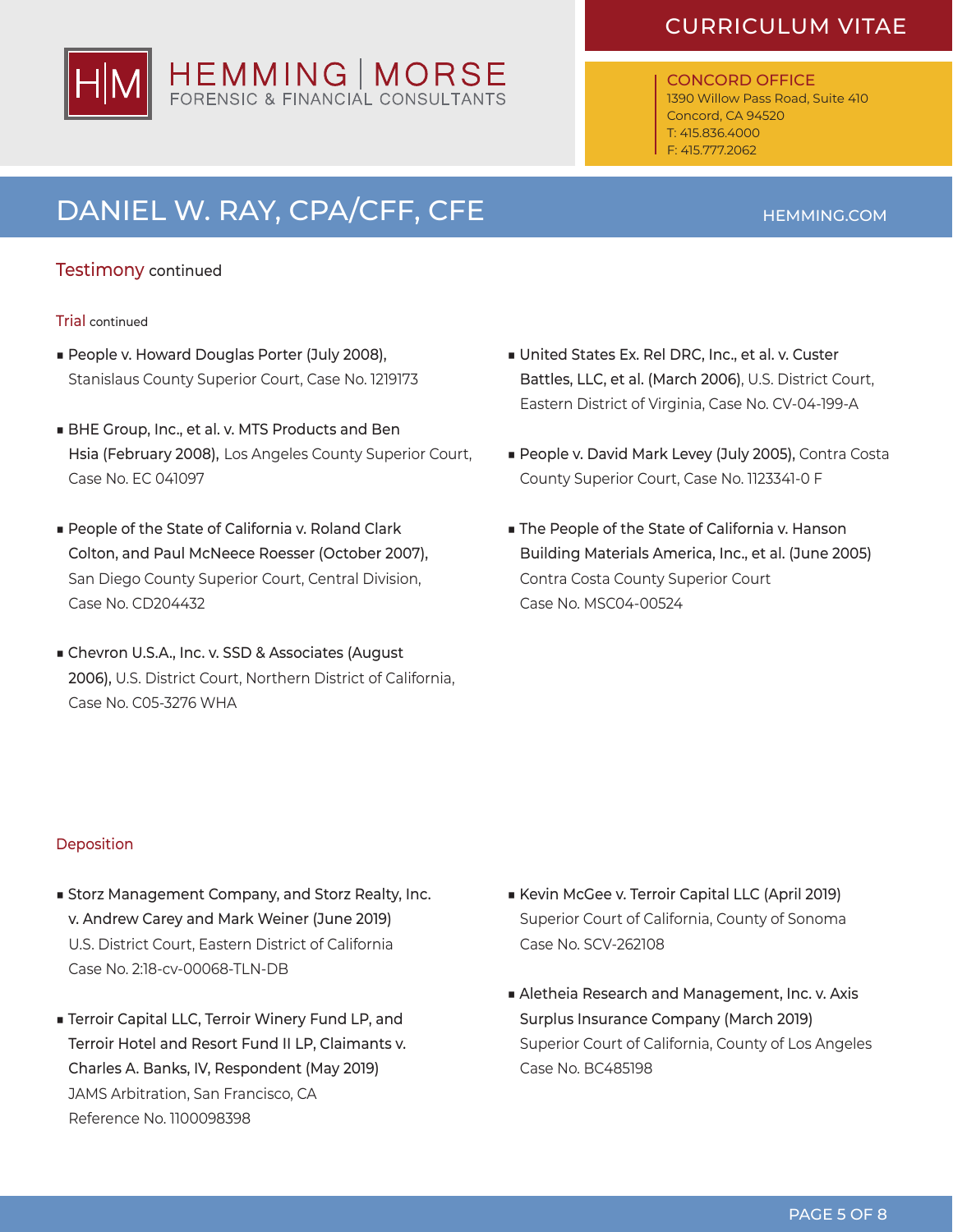

### CONCORD OFFICE

1390 Willow Pass Road, Suite 410 Concord, CA 94520 T: 415.836.4000 F: 415.777.2062

### DANIEL W. RAY, CPA/CFF, CFE **HEMMING.COM**

### Testimony continued

#### Trial continued

- People v. Howard Douglas Porter (July 2008), Stanislaus County Superior Court, Case No. 1219173
- BHE Group, Inc., et al. v. MTS Products and Ben Hsia (February 2008), Los Angeles County Superior Court, Case No. EC 041097
- People of the State of California v. Roland Clark Colton, and Paul McNeece Roesser (October 2007), San Diego County Superior Court, Central Division, Case No. CD204432
- Chevron U.S.A., Inc. v. SSD & Associates (August 2006), U.S. District Court, Northern District of California, Case No. C05-3276 WHA
- United States Ex. Rel DRC, Inc., et al. v. Custer Battles, LLC, et al. (March 2006), U.S. District Court, Eastern District of Virginia, Case No. CV-04-199-A
- People v. David Mark Levey (July 2005), Contra Costa County Superior Court, Case No. 1123341-0 F
- The People of the State of California v. Hanson Building Materials America, Inc., et al. (June 2005) Contra Costa County Superior Court Case No. MSC04-00524

### **Deposition**

- Storz Management Company, and Storz Realty, Inc. v. Andrew Carey and Mark Weiner (June 2019) U.S. District Court, Eastern District of California Case No. 2:18-cv-00068-TLN-DB
- Terroir Capital LLC, Terroir Winery Fund LP, and Terroir Hotel and Resort Fund II LP, Claimants v. Charles A. Banks, IV, Respondent (May 2019) JAMS Arbitration, San Francisco, CA Reference No. 1100098398
- Kevin McGee v. Terroir Capital LLC (April 2019) Superior Court of California, County of Sonoma Case No. SCV-262108
- Aletheia Research and Management, Inc. v. Axis Surplus Insurance Company (March 2019) Superior Court of California, County of Los Angeles Case No. BC485198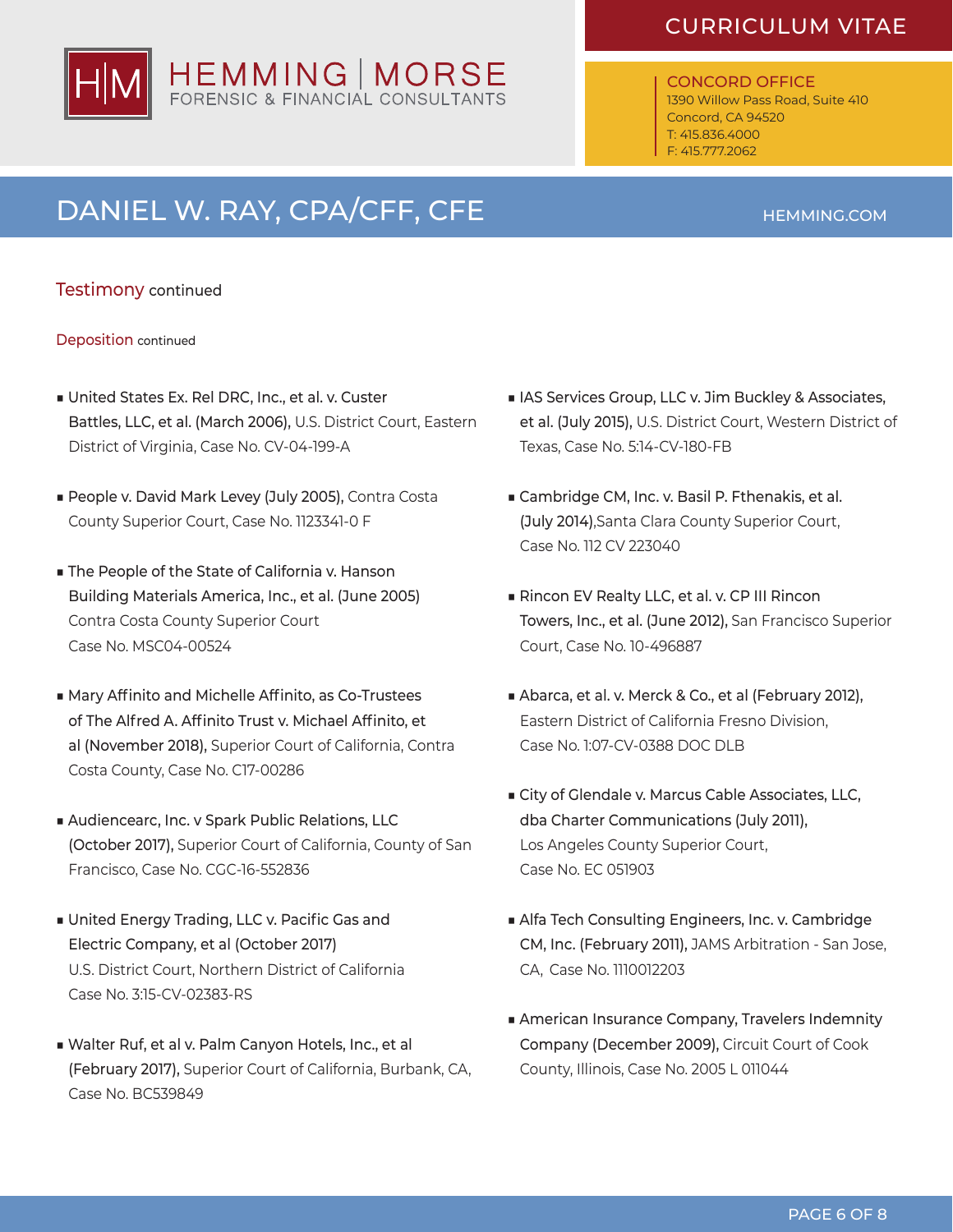

### ONCORD OFFICE

1390 Willow Pass Road, Suite 410 Concord, CA 94520 T: 415.836.4000 F: 415.777.2062

# DANIEL W. RAY, CPA/CFF, CFE **HEMMING.COM**

### Testimony continued

Deposition continued

- United States Ex. Rel DRC, Inc., et al. v. Custer Battles, LLC, et al. (March 2006), U.S. District Court, Eastern District of Virginia, Case No. CV-04-199-A
- People v. David Mark Levey (July 2005), Contra Costa County Superior Court, Case No. 1123341-0 F
- The People of the State of California v. Hanson Building Materials America, Inc., et al. (June 2005) Contra Costa County Superior Court Case No. MSC04-00524
- Mary Affinito and Michelle Affinito, as Co-Trustees of The Alfred A. Affinito Trust v. Michael Affinito, et al (November 2018), Superior Court of California, Contra Costa County, Case No. C17-00286
- Audiencearc, Inc. v Spark Public Relations, LLC (October 2017), Superior Court of California, County of San Francisco, Case No. CGC-16-552836
- United Energy Trading, LLC v. Pacific Gas and Electric Company, et al (October 2017) U.S. District Court, Northern District of California Case No. 3:15-CV-02383-RS
- Walter Ruf, et al v. Palm Canyon Hotels, Inc., et al (February 2017), Superior Court of California, Burbank, CA, Case No. BC539849
- IAS Services Group, LLC v. Jim Buckley & Associates, et al. (July 2015), U.S. District Court, Western District of Texas, Case No. 5:14-CV-180-FB
- Cambridge CM, Inc. v. Basil P. Fthenakis, et al. (July 2014),Santa Clara County Superior Court, Case No. 112 CV 223040
- Rincon EV Realty LLC, et al. v. CP III Rincon Towers, Inc., et al. (June 2012), San Francisco Superior Court, Case No. 10-496887
- Abarca, et al. v. Merck & Co., et al (February 2012), Eastern District of California Fresno Division, Case No. 1:07-CV-0388 DOC DLB
- City of Glendale v. Marcus Cable Associates, LLC, dba Charter Communications (July 2011), Los Angeles County Superior Court, Case No. EC 051903
- Alfa Tech Consulting Engineers, Inc. v. Cambridge CM, Inc. (February 2011), JAMS Arbitration - San Jose, CA, Case No. 1110012203
- American Insurance Company, Travelers Indemnity Company (December 2009), Circuit Court of Cook County, Illinois, Case No. 2005 L 011044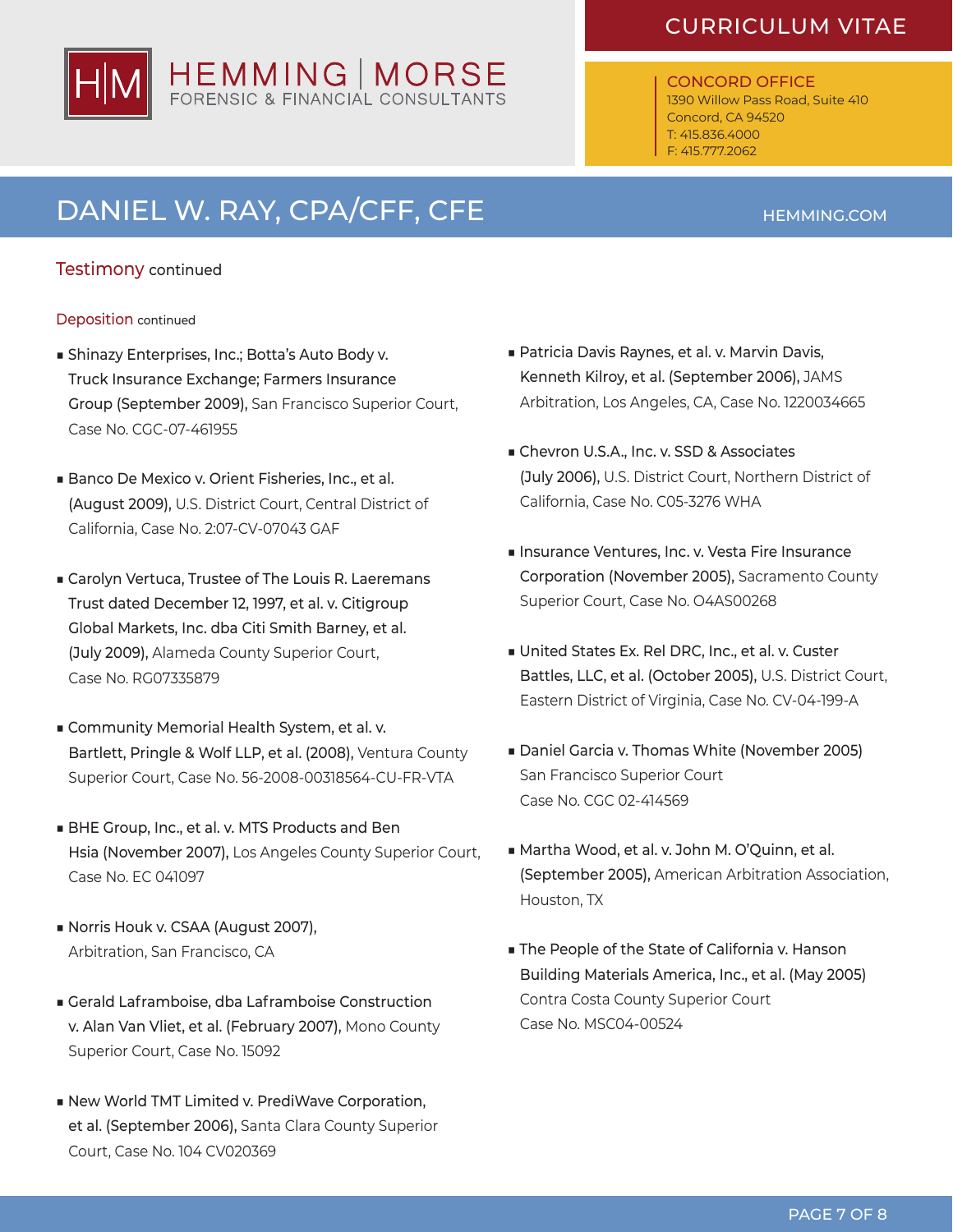

#### ONCORD OFFICE 1390 Willow Pass Road, Suite 410 Concord, CA 94520

T: 415.836.4000 F: 415.777.2062

# DANIEL W. RAY, CPA/CFF, CFE **HEMMING.COM**

### Testimony continued

### Deposition continued

- Shinazy Enterprises, Inc.; Botta's Auto Body v. Truck Insurance Exchange; Farmers Insurance Group (September 2009), San Francisco Superior Court, Case No. CGC-07-461955
- Banco De Mexico v. Orient Fisheries, Inc., et al. (August 2009), U.S. District Court, Central District of California, Case No. 2:07-CV-07043 GAF
- Carolyn Vertuca, Trustee of The Louis R. Laeremans Trust dated December 12, 1997, et al. v. Citigroup Global Markets, Inc. dba Citi Smith Barney, et al. (July 2009), Alameda County Superior Court, Case No. RG07335879
- Community Memorial Health System, et al. v. Bartlett, Pringle & Wolf LLP, et al. (2008), Ventura County Superior Court, Case No. 56-2008-00318564-CU-FR-VTA
- BHE Group, Inc., et al. v. MTS Products and Ben Hsia (November 2007), Los Angeles County Superior Court, Case No. EC 041097
- Norris Houk v. CSAA (August 2007), Arbitration, San Francisco, CA
- Gerald Laframboise, dba Laframboise Construction v. Alan Van Vliet, et al. (February 2007), Mono County Superior Court, Case No. 15092
- New World TMT Limited v. PrediWave Corporation, et al. (September 2006), Santa Clara County Superior Court, Case No. 104 CV020369
- Patricia Davis Raynes, et al. v. Marvin Davis, Kenneth Kilroy, et al. (September 2006), JAMS Arbitration, Los Angeles, CA, Case No. 1220034665
- Chevron U.S.A., Inc. v. SSD & Associates (July 2006), U.S. District Court, Northern District of California, Case No. C05-3276 WHA
- Insurance Ventures, Inc. v. Vesta Fire Insurance Corporation (November 2005), Sacramento County Superior Court, Case No. O4AS00268
- United States Ex. Rel DRC, Inc., et al. v. Custer Battles, LLC, et al. (October 2005), U.S. District Court, Eastern District of Virginia, Case No. CV-04-199-A
- Daniel Garcia v. Thomas White (November 2005) San Francisco Superior Court Case No. CGC 02-414569
- Martha Wood, et al. v. John M. O'Quinn, et al. (September 2005), American Arbitration Association, Houston, TX
- The People of the State of California v. Hanson Building Materials America, Inc., et al. (May 2005) Contra Costa County Superior Court Case No. MSC04-00524